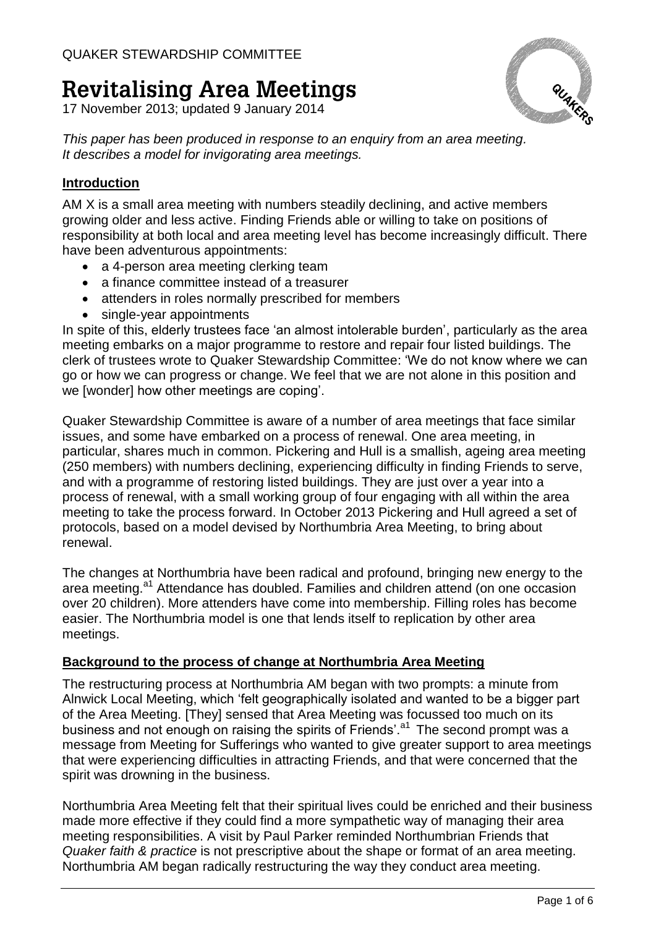# **Revitalising Area Meetings**

17 November 2013; updated 9 January 2014



*This paper has been produced in response to an enquiry from an area meeting. It describes a model for invigorating area meetings.*

# **Introduction**

AM X is a small area meeting with numbers steadily declining, and active members growing older and less active. Finding Friends able or willing to take on positions of responsibility at both local and area meeting level has become increasingly difficult. There have been adventurous appointments:

- a 4-person area meeting clerking team
- a finance committee instead of a treasurer
- attenders in roles normally prescribed for members
- single-year appointments

In spite of this, elderly trustees face 'an almost intolerable burden', particularly as the area meeting embarks on a major programme to restore and repair four listed buildings. The clerk of trustees wrote to Quaker Stewardship Committee: 'We do not know where we can go or how we can progress or change. We feel that we are not alone in this position and we [wonder] how other meetings are coping'.

Quaker Stewardship Committee is aware of a number of area meetings that face similar issues, and some have embarked on a process of renewal. One area meeting, in particular, shares much in common. Pickering and Hull is a smallish, ageing area meeting (250 members) with numbers declining, experiencing difficulty in finding Friends to serve, and with a programme of restoring listed buildings. They are just over a year into a process of renewal, with a small working group of four engaging with all within the area meeting to take the process forward. In October 2013 Pickering and Hull agreed a set of protocols, based on a model devised by Northumbria Area Meeting, to bring about renewal.

The changes at Northumbria have been radical and profound, bringing new energy to the area meeting.<sup>a1</sup> Attendance has doubled. Families and children attend (on one occasion over 20 children). More attenders have come into membership. Filling roles has become easier. The Northumbria model is one that lends itself to replication by other area meetings.

## **Background to the process of change at Northumbria Area Meeting**

The restructuring process at Northumbria AM began with two prompts: a minute from Alnwick Local Meeting, which 'felt geographically isolated and wanted to be a bigger part of the Area Meeting. [They] sensed that Area Meeting was focussed too much on its business and not enough on raising the spirits of Friends'. $a<sup>1</sup>$  The second prompt was a message from Meeting for Sufferings who wanted to give greater support to area meetings that were experiencing difficulties in attracting Friends, and that were concerned that the spirit was drowning in the business.

Northumbria Area Meeting felt that their spiritual lives could be enriched and their business made more effective if they could find a more sympathetic way of managing their area meeting responsibilities. A visit by Paul Parker reminded Northumbrian Friends that *Quaker faith & practice* is not prescriptive about the shape or format of an area meeting. Northumbria AM began radically restructuring the way they conduct area meeting.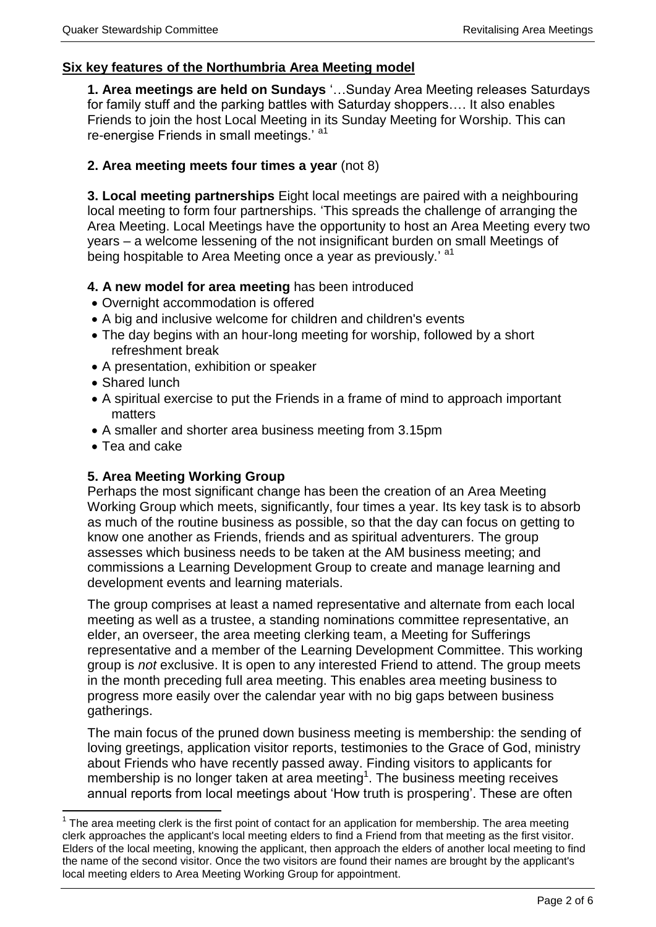## **Six key features of the Northumbria Area Meeting model**

**1. Area meetings are held on Sundays** '…Sunday Area Meeting releases Saturdays for family stuff and the parking battles with Saturday shoppers…. It also enables Friends to join the host Local Meeting in its Sunday Meeting for Worship. This can re-energise Friends in small meetings.' a1

## **2. Area meeting meets four times a year** (not 8)

**3. Local meeting partnerships** Eight local meetings are paired with a neighbouring local meeting to form four partnerships. 'This spreads the challenge of arranging the Area Meeting. Local Meetings have the opportunity to host an Area Meeting every two years – a welcome lessening of the not insignificant burden on small Meetings of being hospitable to Area Meeting once a year as previously.' a<sup>1</sup>

## **4. A new model for area meeting** has been introduced

- Overnight accommodation is offered
- A big and inclusive welcome for children and children's events
- The day begins with an hour-long meeting for worship, followed by a short refreshment break
- A presentation, exhibition or speaker
- Shared lunch
- A spiritual exercise to put the Friends in a frame of mind to approach important matters
- A smaller and shorter area business meeting from 3.15pm
- Tea and cake

<u>.</u>

# **5. Area Meeting Working Group**

Perhaps the most significant change has been the creation of an Area Meeting Working Group which meets, significantly, four times a year. Its key task is to absorb as much of the routine business as possible, so that the day can focus on getting to know one another as Friends, friends and as spiritual adventurers. The group assesses which business needs to be taken at the AM business meeting; and commissions a Learning Development Group to create and manage learning and development events and learning materials.

The group comprises at least a named representative and alternate from each local meeting as well as a trustee, a standing nominations committee representative, an elder, an overseer, the area meeting clerking team, a Meeting for Sufferings representative and a member of the Learning Development Committee. This working group is *not* exclusive. It is open to any interested Friend to attend. The group meets in the month preceding full area meeting. This enables area meeting business to progress more easily over the calendar year with no big gaps between business gatherings.

The main focus of the pruned down business meeting is membership: the sending of loving greetings, application visitor reports, testimonies to the Grace of God, ministry about Friends who have recently passed away. Finding visitors to applicants for membership is no longer taken at area meeting<sup>1</sup>. The business meeting receives annual reports from local meetings about 'How truth is prospering'. These are often

 $1$  The area meeting clerk is the first point of contact for an application for membership. The area meeting clerk approaches the applicant's local meeting elders to find a Friend from that meeting as the first visitor. Elders of the local meeting, knowing the applicant, then approach the elders of another local meeting to find the name of the second visitor. Once the two visitors are found their names are brought by the applicant's local meeting elders to Area Meeting Working Group for appointment.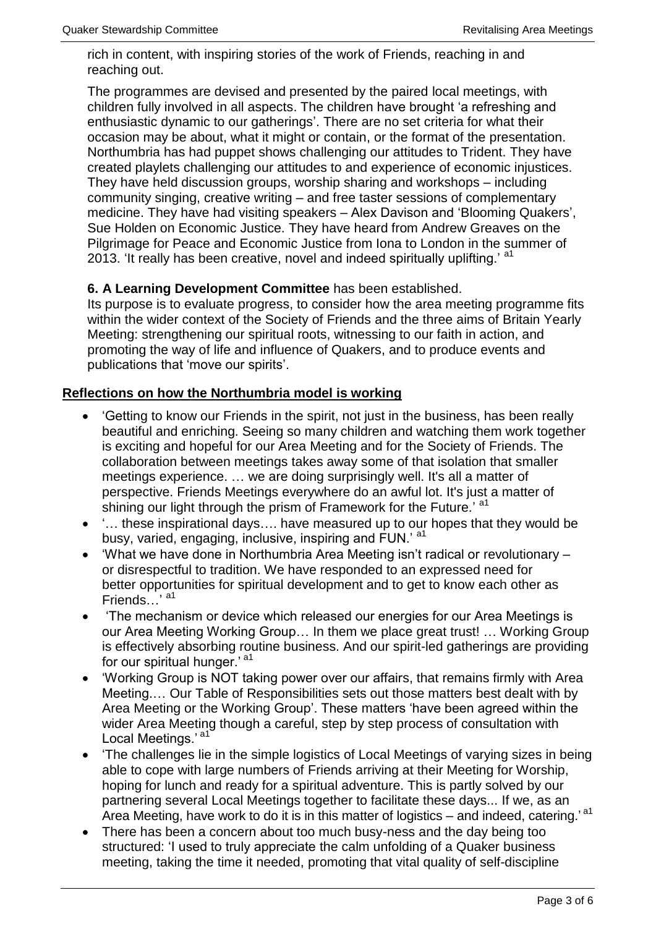rich in content, with inspiring stories of the work of Friends, reaching in and reaching out.

The programmes are devised and presented by the paired local meetings, with children fully involved in all aspects. The children have brought 'a refreshing and enthusiastic dynamic to our gatherings'. There are no set criteria for what their occasion may be about, what it might or contain, or the format of the presentation. Northumbria has had puppet shows challenging our attitudes to Trident. They have created playlets challenging our attitudes to and experience of economic injustices. They have held discussion groups, worship sharing and workshops – including community singing, creative writing – and free taster sessions of complementary medicine. They have had visiting speakers – Alex Davison and 'Blooming Quakers', Sue Holden on Economic Justice. They have heard from Andrew Greaves on the Pilgrimage for Peace and Economic Justice from Iona to London in the summer of 2013. 'It really has been creative, novel and indeed spiritually uplifting.' a<sup>1</sup>

## **6. A Learning Development Committee** has been established.

Its purpose is to evaluate progress, to consider how the area meeting programme fits within the wider context of the Society of Friends and the three aims of Britain Yearly Meeting: strengthening our spiritual roots, witnessing to our faith in action, and promoting the way of life and influence of Quakers, and to produce events and publications that 'move our spirits'.

## **Reflections on how the Northumbria model is working**

- 'Getting to know our Friends in the spirit, not just in the business, has been really beautiful and enriching. Seeing so many children and watching them work together is exciting and hopeful for our Area Meeting and for the Society of Friends. The collaboration between meetings takes away some of that isolation that smaller meetings experience. … we are doing surprisingly well. It's all a matter of perspective. Friends Meetings everywhere do an awful lot. It's just a matter of shining our light through the prism of Framework for the Future.' at
- '… these inspirational days…. have measured up to our hopes that they would be busy, varied, engaging, inclusive, inspiring and FUN.' at
- 'What we have done in Northumbria Area Meeting isn't radical or revolutionary or disrespectful to tradition. We have responded to an expressed need for better opportunities for spiritual development and to get to know each other as Friends…<sup>'</sup> a<sup>1</sup>
- 'The mechanism or device which released our energies for our Area Meetings is our Area Meeting Working Group… In them we place great trust! … Working Group is effectively absorbing routine business. And our spirit-led gatherings are providing for our spiritual hunger.' a1
- 'Working Group is NOT taking power over our affairs, that remains firmly with Area Meeting.… Our Table of Responsibilities sets out those matters best dealt with by Area Meeting or the Working Group'. These matters 'have been agreed within the wider Area Meeting though a careful, step by step process of consultation with Local Meetings.' a1
- 'The challenges lie in the simple logistics of Local Meetings of varying sizes in being able to cope with large numbers of Friends arriving at their Meeting for Worship, hoping for lunch and ready for a spiritual adventure. This is partly solved by our partnering several Local Meetings together to facilitate these days... If we, as an Area Meeting, have work to do it is in this matter of logistics – and indeed, catering.'<sup>a1</sup>
- There has been a concern about too much busy-ness and the day being too structured: 'I used to truly appreciate the calm unfolding of a Quaker business meeting, taking the time it needed, promoting that vital quality of self-discipline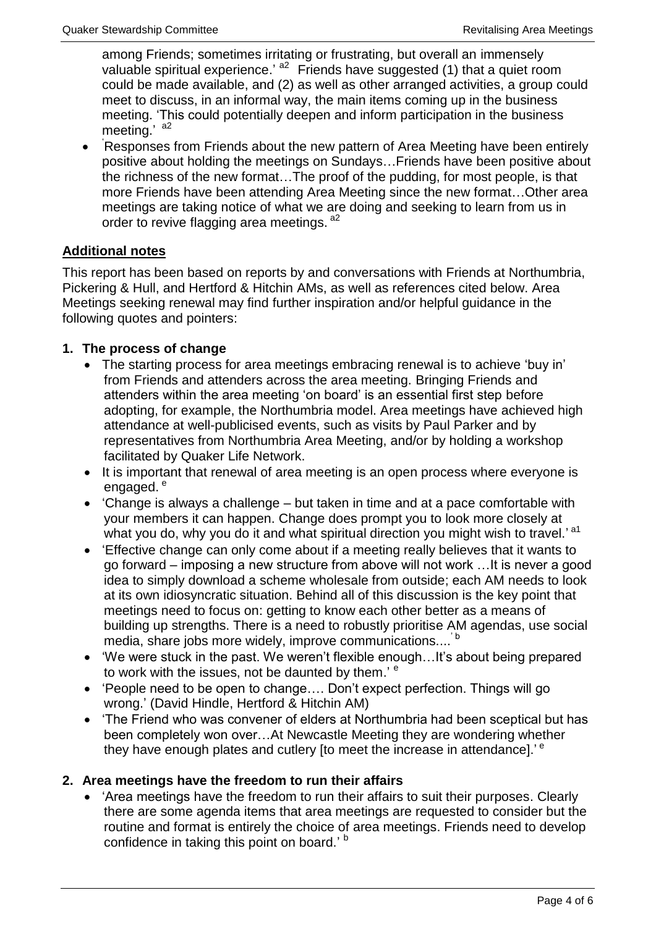among Friends; sometimes irritating or frustrating, but overall an immensely valuable spiritual experience.<sup>'  $a^2$ </sup> Friends have suggested (1) that a quiet room could be made available, and (2) as well as other arranged activities, a group could meet to discuss, in an informal way, the main items coming up in the business meeting. 'This could potentially deepen and inform participation in the business meeting.' a2

 $\bullet$ 'Responses from Friends about the new pattern of Area Meeting have been entirely positive about holding the meetings on Sundays…Friends have been positive about the richness of the new format…The proof of the pudding, for most people, is that more Friends have been attending Area Meeting since the new format…Other area meetings are taking notice of what we are doing and seeking to learn from us in order to revive flagging area meetings. a<sup>2</sup>

# **Additional notes**

This report has been based on reports by and conversations with Friends at Northumbria, Pickering & Hull, and Hertford & Hitchin AMs, as well as references cited below. Area Meetings seeking renewal may find further inspiration and/or helpful guidance in the following quotes and pointers:

# **1. The process of change**

- The starting process for area meetings embracing renewal is to achieve 'buy in' from Friends and attenders across the area meeting. Bringing Friends and attenders within the area meeting 'on board' is an essential first step before adopting, for example, the Northumbria model. Area meetings have achieved high attendance at well-publicised events, such as visits by Paul Parker and by representatives from Northumbria Area Meeting, and/or by holding a workshop facilitated by Quaker Life Network.
- It is important that renewal of area meeting is an open process where everyone is engaged.<sup>e</sup>
- 'Change is always a challenge but taken in time and at a pace comfortable with your members it can happen. Change does prompt you to look more closely at what you do, why you do it and what spiritual direction you might wish to travel.'<sup>a1</sup>
- 'Effective change can only come about if a meeting really believes that it wants to go forward – imposing a new structure from above will not work …It is never a good idea to simply download a scheme wholesale from outside; each AM needs to look at its own idiosyncratic situation. Behind all of this discussion is the key point that meetings need to focus on: getting to know each other better as a means of building up strengths. There is a need to robustly prioritise AM agendas, use social media, share jobs more widely, improve communications....<sup>'b</sup>
- 'We were stuck in the past. We weren't flexible enough…It's about being prepared to work with the issues, not be daunted by them.' <sup>e</sup>
- 'People need to be open to change…. Don't expect perfection. Things will go wrong.' (David Hindle, Hertford & Hitchin AM)
- 'The Friend who was convener of elders at Northumbria had been sceptical but has been completely won over…At Newcastle Meeting they are wondering whether they have enough plates and cutlery [to meet the increase in attendance].'<sup>e</sup>

# **2. Area meetings have the freedom to run their affairs**

 'Area meetings have the freedom to run their affairs to suit their purposes. Clearly there are some agenda items that area meetings are requested to consider but the routine and format is entirely the choice of area meetings. Friends need to develop confidence in taking this point on board.' b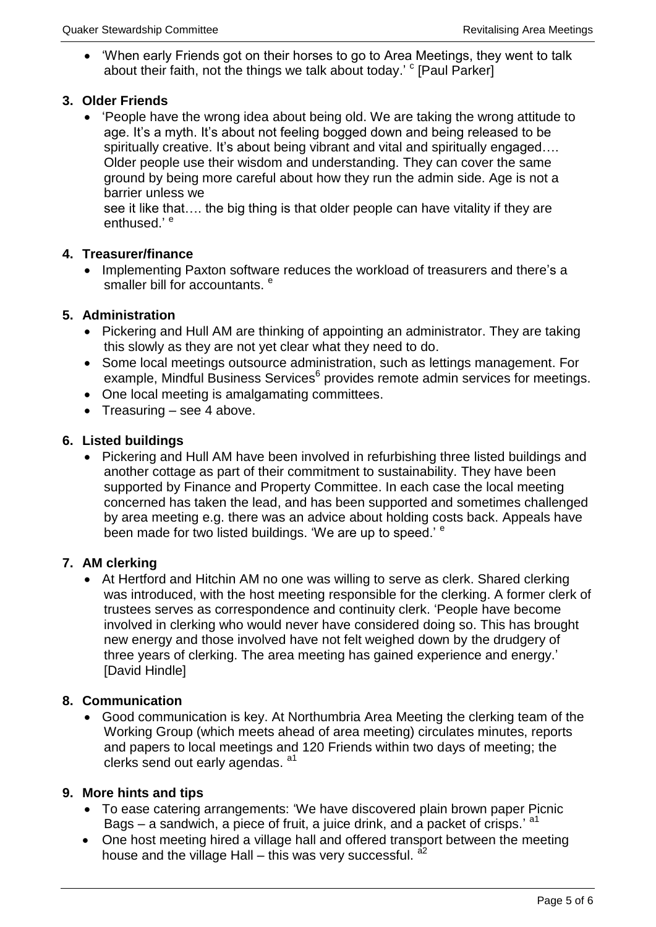'When early Friends got on their horses to go to Area Meetings, they went to talk about their faith, not the things we talk about today.' <sup>c</sup> [Paul Parker]

## **3. Older Friends**

 'People have the wrong idea about being old. We are taking the wrong attitude to age. It's a myth. It's about not feeling bogged down and being released to be spiritually creative. It's about being vibrant and vital and spiritually engaged.... Older people use their wisdom and understanding. They can cover the same ground by being more careful about how they run the admin side. Age is not a barrier unless we

see it like that…. the big thing is that older people can have vitality if they are enthused.' <sup>e</sup>

## **4. Treasurer/finance**

• Implementing Paxton software reduces the workload of treasurers and there's a smaller bill for accountants.<sup>e</sup>

## **5. Administration**

- Pickering and Hull AM are thinking of appointing an administrator. They are taking this slowly as they are not yet clear what they need to do.
- Some local meetings outsource administration, such as lettings management. For example, Mindful Business Services<sup>6</sup> provides remote admin services for meetings.
- One local meeting is amalgamating committees.
- Treasuring  $-$  see 4 above.

## **6. Listed buildings**

• Pickering and Hull AM have been involved in refurbishing three listed buildings and another cottage as part of their commitment to sustainability. They have been supported by Finance and Property Committee. In each case the local meeting concerned has taken the lead, and has been supported and sometimes challenged by area meeting e.g. there was an advice about holding costs back. Appeals have been made for two listed buildings. 'We are up to speed.' <sup>e</sup>

## **7. AM clerking**

 At Hertford and Hitchin AM no one was willing to serve as clerk. Shared clerking was introduced, with the host meeting responsible for the clerking. A former clerk of trustees serves as correspondence and continuity clerk. 'People have become involved in clerking who would never have considered doing so. This has brought new energy and those involved have not felt weighed down by the drudgery of three years of clerking. The area meeting has gained experience and energy.' [David Hindle]

## **8. Communication**

 Good communication is key. At Northumbria Area Meeting the clerking team of the Working Group (which meets ahead of area meeting) circulates minutes, reports and papers to local meetings and 120 Friends within two days of meeting; the clerks send out early agendas. <sup>a1</sup>

## **9. More hints and tips**

- To ease catering arrangements: 'We have discovered plain brown paper Picnic Bags – a sandwich, a piece of fruit, a juice drink, and a packet of crisps.' <sup>a1</sup>
- One host meeting hired a village hall and offered transport between the meeting house and the village Hall – this was very successful.  $a^2$